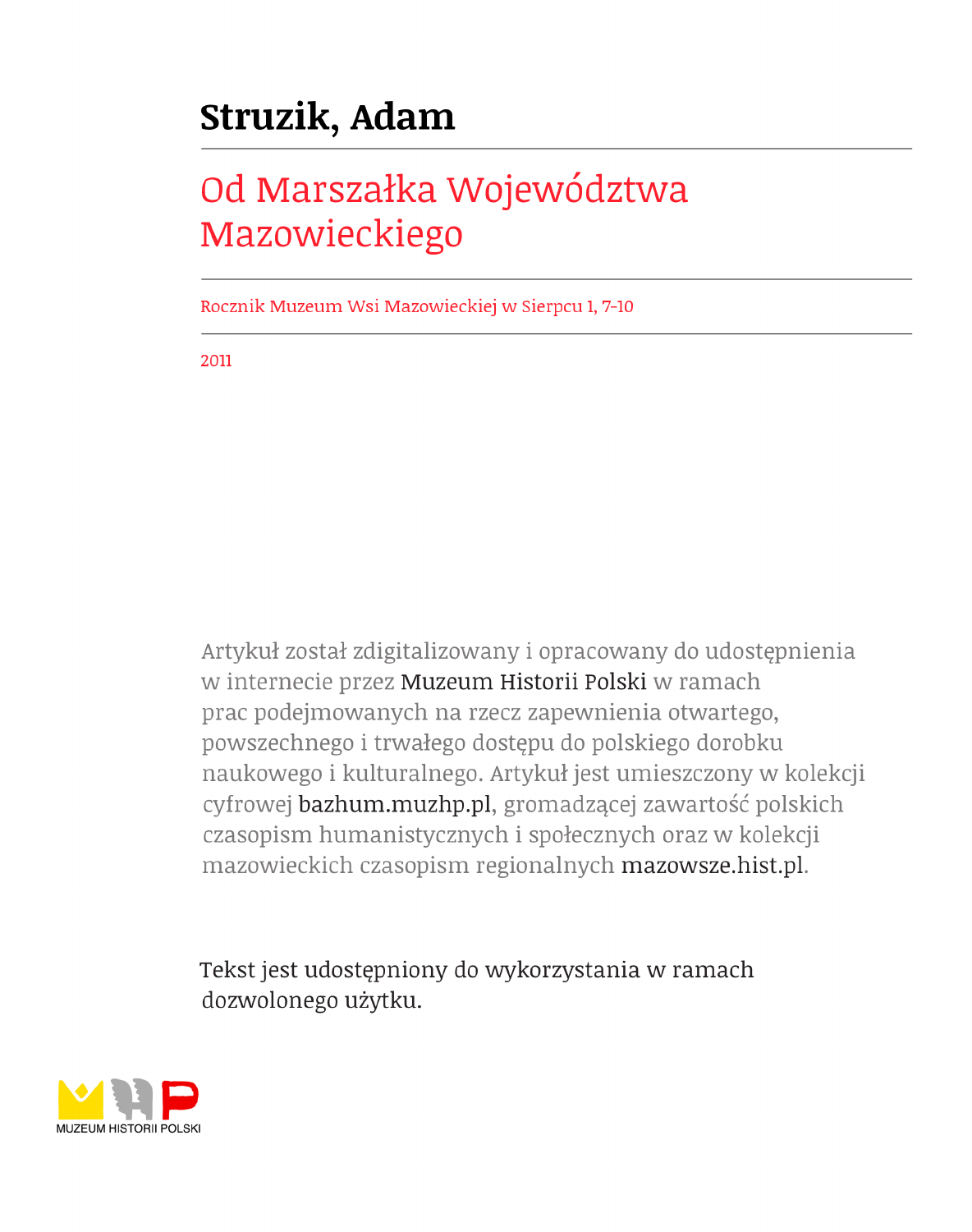## Struzik, Adam

## Od Marszałka Województwa Mazowieckiego

Rocznik Muzeum Wsi Mazowieckiej w Sierpcu 1, 7-10

2011

Artykuł został zdigitalizowany i opracowany do udostępnienia w internecie przez Muzeum Historii Polski w ramach prac podejmowanych na rzecz zapewnienia otwartego, powszechnego i trwałego dostępu do polskiego dorobku naukowego i kulturalnego. Artykuł jest umieszczony w kolekcji cyfrowej bazhum.muzhp.pl, gromadzącej zawartość polskich czasopism humanistycznych i społecznych oraz w kolekcji mazowieckich czasopism regionalnych mazowsze.hist.pl.

Tekst jest udostępniony do wykorzystania w ramach dozwolonego użytku.

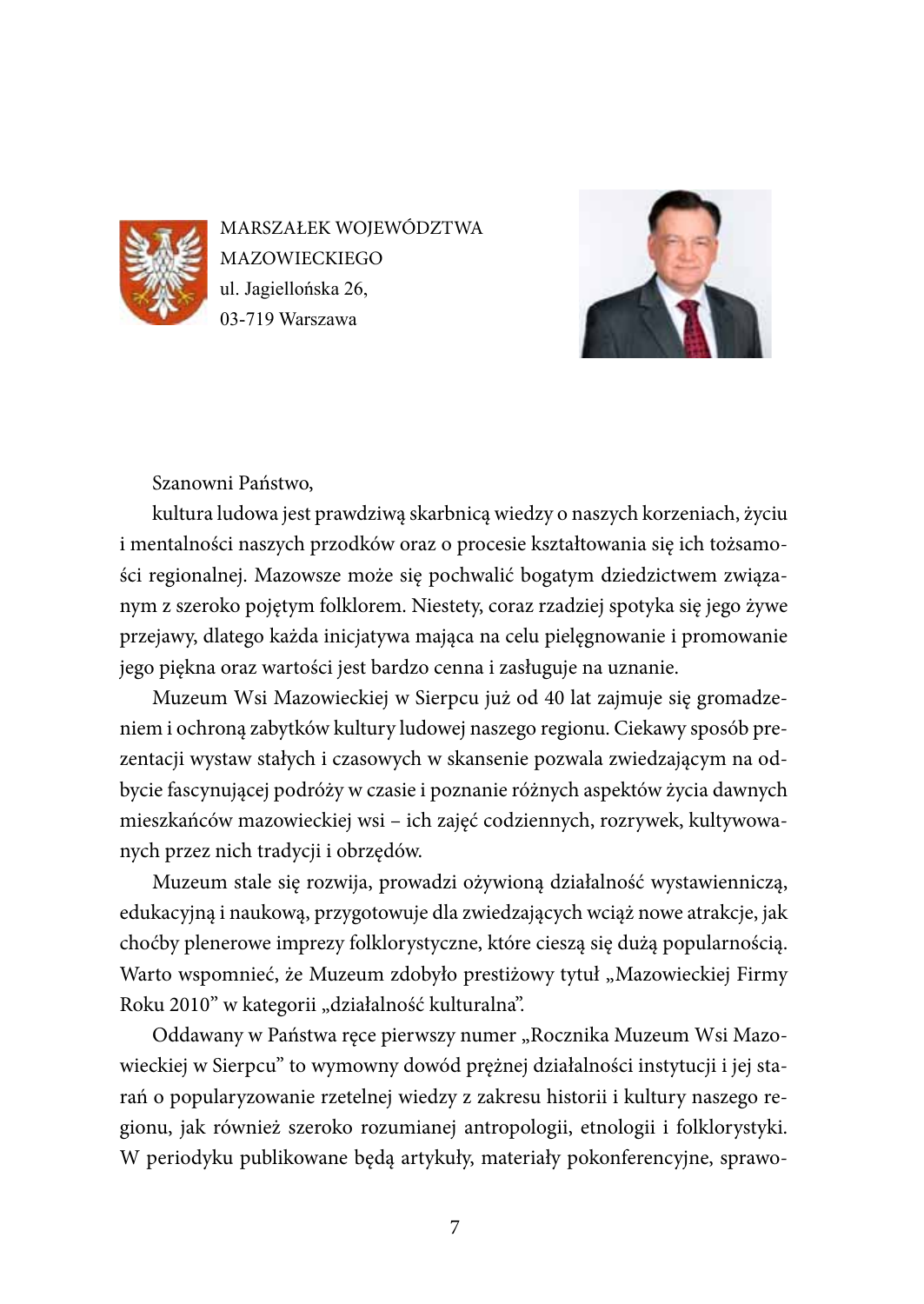

MARSZAŁEK WOJEWÓDZTWA **MAZOWIECKIEGO** ul. Jagiellońska 26, 03-719 Warszawa



Szanowni Państwo,

kultura ludowa jest prawdziwą skarbnicą wiedzy o naszych korzeniach, życiu i mentalności naszych przodków oraz o procesie kształtowania się ich tożsamości regionalnej. Mazowsze może się pochwalić bogatym dziedzictwem związanym z szeroko pojętym folklorem. Niestety, coraz rzadziej spotyka się jego żywe przejawy, dlatego każda inicjatywa mająca na celu pielęgnowanie i promowanie jego piękna oraz wartości jest bardzo cenna i zasługuje na uznanie.

Muzeum Wsi Mazowieckiej w Sierpcu już od 40 lat zajmuje się gromadzeniem i ochroną zabytków kultury ludowej naszego regionu. Ciekawy sposób prezentacji wystaw stałych i czasowych w skansenie pozwala zwiedzającym na odbycie fascynującej podróży w czasie i poznanie różnych aspektów życia dawnych mieszkańców mazowieckiej wsi – ich zajęć codziennych, rozrywek, kultywowanych przez nich tradycji i obrzędów.

Muzeum stale się rozwija, prowadzi ożywioną działalność wystawienniczą, edukacyjną i naukową, przygotowuje dla zwiedzających wciąż nowe atrakcje, jak choćby plenerowe imprezy folklorystyczne, które cieszą się dużą popularnością. Warto wspomnieć, że Muzeum zdobyło prestiżowy tytuł "Mazowieckiej Firmy Roku 2010" w kategorii "działalność kulturalna".

Oddawany w Państwa ręce pierwszy numer "Rocznika Muzeum Wsi Mazowieckiej w Sierpcu" to wymowny dowód prężnej działalności instytucji i jej starań o popularyzowanie rzetelnej wiedzy z zakresu historii i kultury naszego regionu, jak również szeroko rozumianej antropologii, etnologii i folklorystyki. W periodyku publikowane będą artykuły, materiały pokonferencyjne, sprawo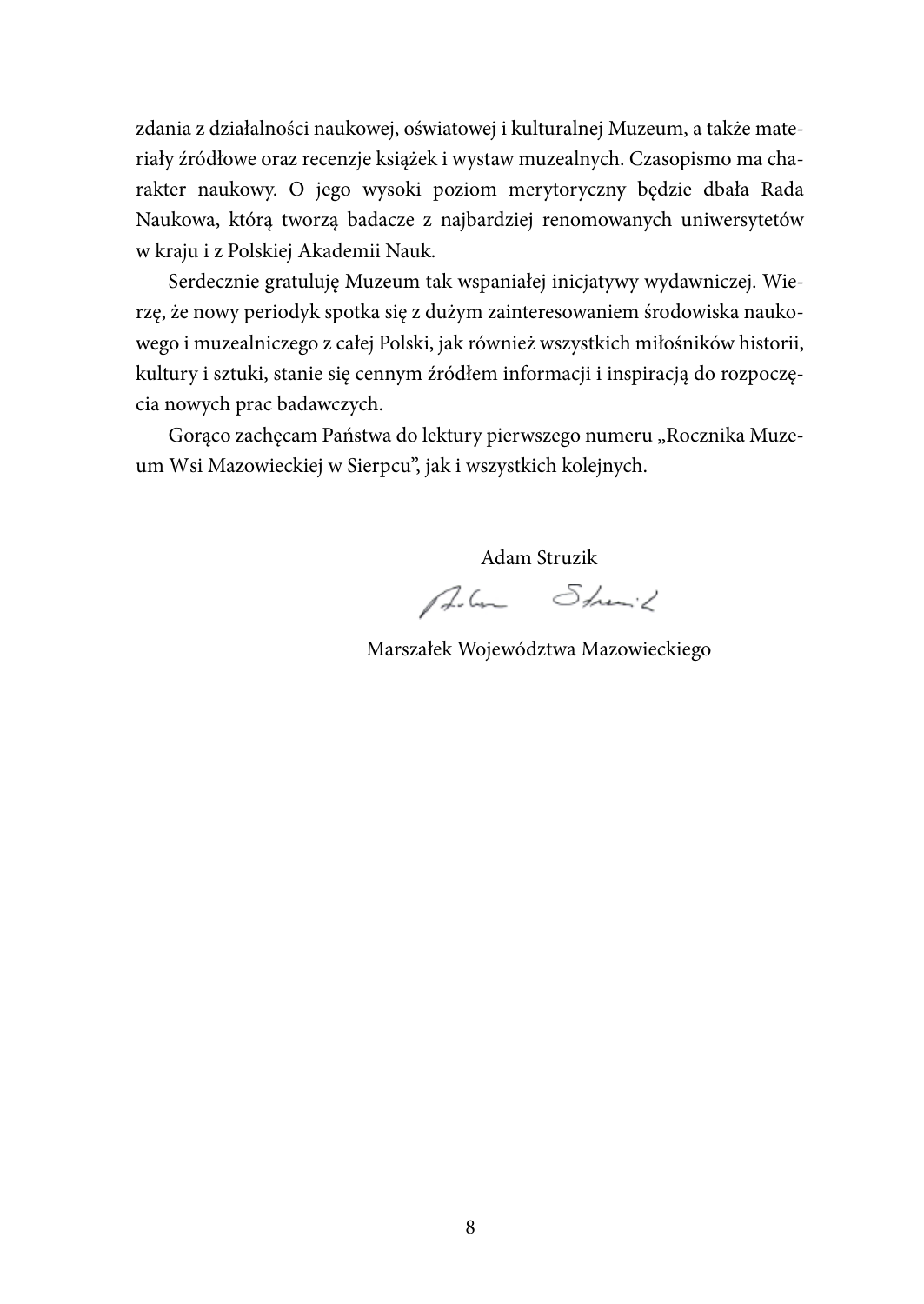zdania z działalności naukowej, oświatowej i kulturalnej Muzeum, a także materiały źródłowe oraz recenzje książek i wystaw muzealnych. Czasopismo ma charakter naukowy. O jego wysoki poziom merytoryczny będzie dbała Rada Naukowa, którą tworzą badacze z najbardziej renomowanych uniwersytetów w kraju i z Polskiej Akademii Nauk.

Serdecznie gratuluję Muzeum tak wspaniałej inicjatywy wydawniczej. Wierzę, że nowy periodyk spotka się z dużym zainteresowaniem środowiska naukowego i muzealniczego z całej Polski, jak również wszystkich miłośników historii, kultury i sztuki, stanie się cennym źródłem informacji i inspiracją do rozpoczęcia nowych prac badawczych.

Gorąco zachęcam Państwa do lektury pierwszego numeru "Rocznika Muzeum Wsi Mazowieckiej w Sierpcu", jak i wszystkich kolejnych.

Adam Struzik

Alm Shown's

Marszałek Województwa Mazowieckiego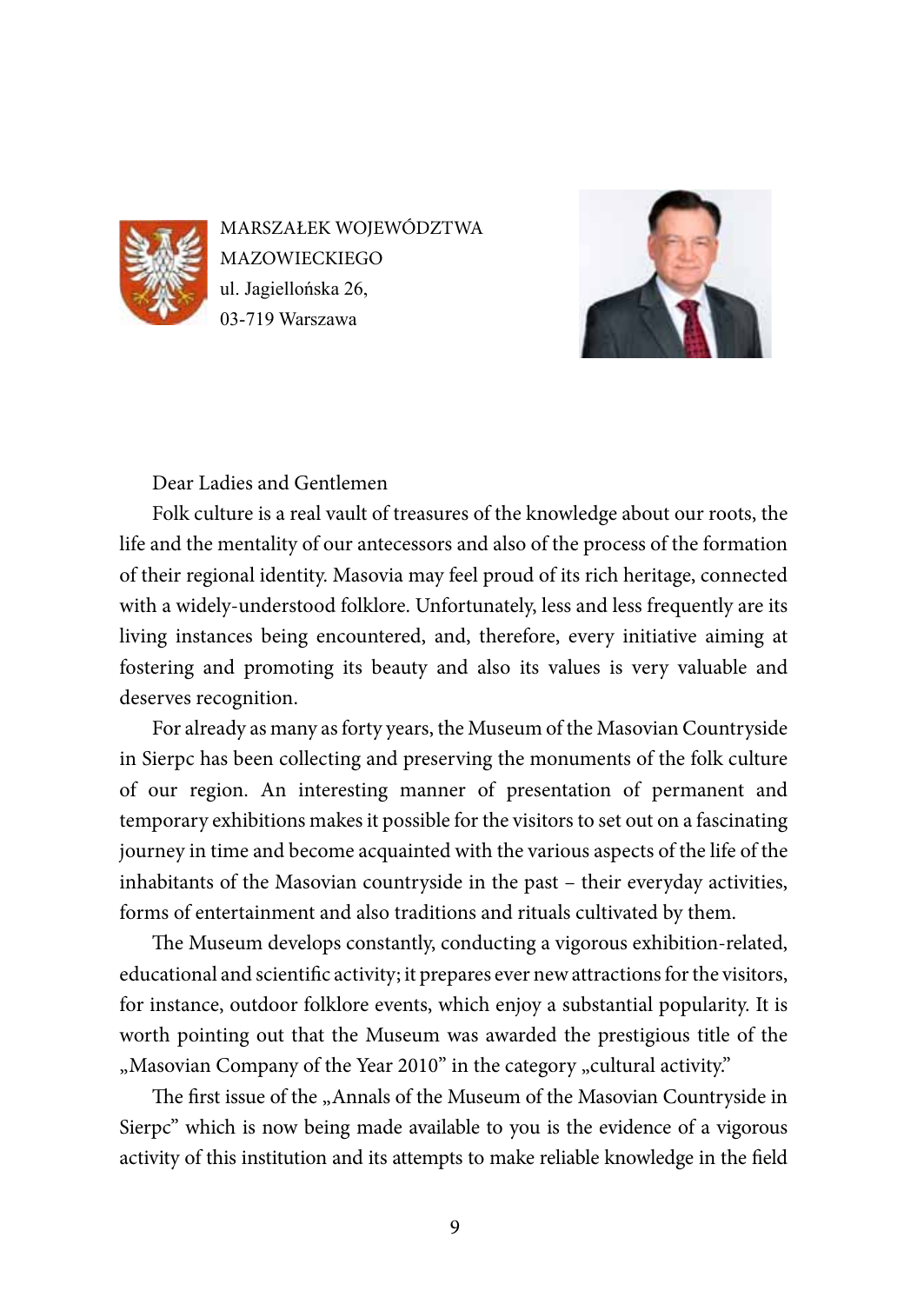

MARSZAŁEK WOJEWÓDZTWA **MAZOWIECKIEGO** ul. Jagiellońska 26, 03-719 Warszawa



Dear Ladies and Gentlemen

Folk culture is a real vault of treasures of the knowledge about our roots, the life and the mentality of our antecessors and also of the process of the formation of their regional identity. Masovia may feel proud of its rich heritage, connected with a widely-understood folklore. Unfortunately, less and less frequently are its living instances being encountered, and, therefore, every initiative aiming at fostering and promoting its beauty and also its values is very valuable and deserves recognition.

For already as many as forty years, the Museum of the Masovian Countryside in Sierpc has been collecting and preserving the monuments of the folk culture of our region. An interesting manner of presentation of permanent and temporary exhibitions makes it possible for the visitors to set out on a fascinating journey in time and become acquainted with the various aspects of the life of the inhabitants of the Masovian countryside in the past – their everyday activities, forms of entertainment and also traditions and rituals cultivated by them.

The Museum develops constantly, conducting a vigorous exhibition-related, educational and scientific activity; it prepares ever new attractions for the visitors, for instance, outdoor folklore events, which enjoy a substantial popularity. It is worth pointing out that the Museum was awarded the prestigious title of the ", Masovian Company of the Year 2010" in the category "cultural activity.

The first issue of the "Annals of the Museum of the Masovian Countryside in Sierpc" which is now being made available to you is the evidence of a vigorous activity of this institution and its attempts to make reliable knowledge in the field